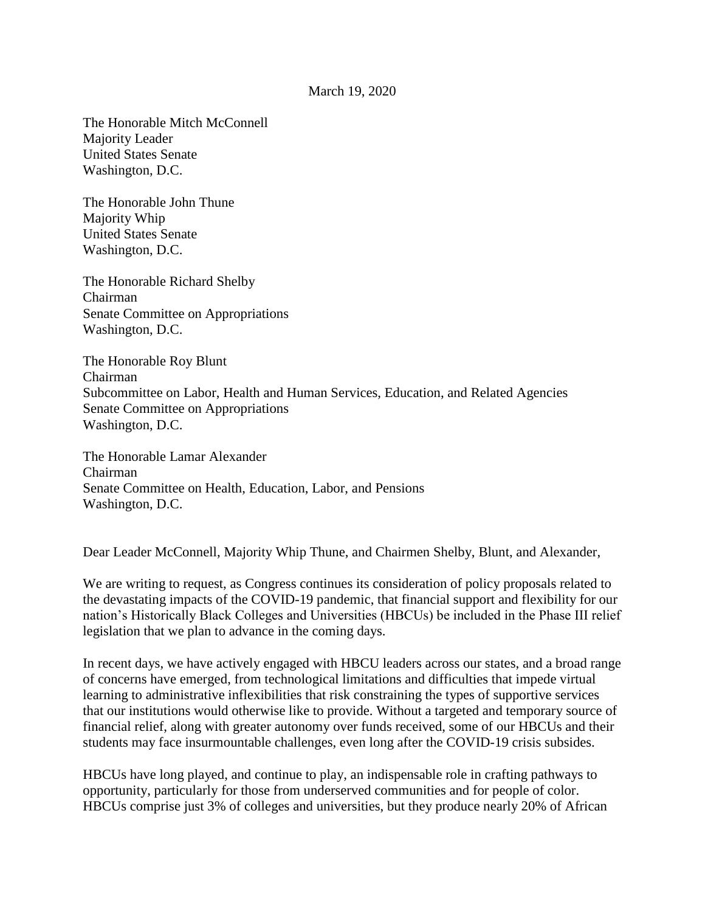## March 19, 2020

The Honorable Mitch McConnell Majority Leader United States Senate Washington, D.C.

The Honorable John Thune Majority Whip United States Senate Washington, D.C.

The Honorable Richard Shelby Chairman Senate Committee on Appropriations Washington, D.C.

The Honorable Roy Blunt Chairman Subcommittee on Labor, Health and Human Services, Education, and Related Agencies Senate Committee on Appropriations Washington, D.C.

The Honorable Lamar Alexander Chairman Senate Committee on Health, Education, Labor, and Pensions Washington, D.C.

Dear Leader McConnell, Majority Whip Thune, and Chairmen Shelby, Blunt, and Alexander,

We are writing to request, as Congress continues its consideration of policy proposals related to the devastating impacts of the COVID-19 pandemic, that financial support and flexibility for our nation's Historically Black Colleges and Universities (HBCUs) be included in the Phase III relief legislation that we plan to advance in the coming days.

In recent days, we have actively engaged with HBCU leaders across our states, and a broad range of concerns have emerged, from technological limitations and difficulties that impede virtual learning to administrative inflexibilities that risk constraining the types of supportive services that our institutions would otherwise like to provide. Without a targeted and temporary source of financial relief, along with greater autonomy over funds received, some of our HBCUs and their students may face insurmountable challenges, even long after the COVID-19 crisis subsides.

HBCUs have long played, and continue to play, an indispensable role in crafting pathways to opportunity, particularly for those from underserved communities and for people of color. HBCUs comprise just 3% of colleges and universities, but they produce nearly 20% of African